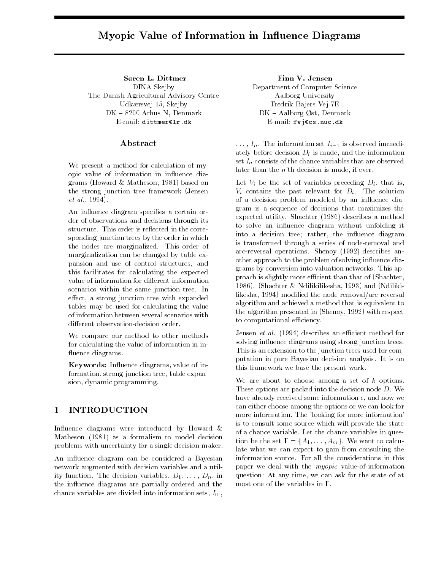# wryopic value of Hilofination in Hilluence Diagrams

S-ren L Dittmer DINA Skejby The Danish Agricultural Advisory Centre rsvej staroči i skej predsjednika i staroči staroči i staroči staroči staroči staroči staroči staroči staroči  $\mathbf{D}_{\mathbf{R}}$   $\mathbf{D}_{\mathbf{S}}$   $\mathbf{D}_{\mathbf{S}}$   $\mathbf{D}_{\mathbf{S}}$   $\mathbf{D}_{\mathbf{S}}$   $\mathbf{D}_{\mathbf{S}}$   $\mathbf{D}_{\mathbf{S}}$   $\mathbf{D}_{\mathbf{S}}$ 

# Abstract

We present a method for calculation of my opic value of information in influence diagrams (Howard  $\&$  Matheson, 1981) based on the strong junction tree framework Jensen  $\sim$  with  $\sim$   $\sim$   $\sim$   $\sim$   $\sim$   $\sim$   $\sim$ 

An influence diagram specifies a certain order of observations and decisions through its structure. This order is reflected in the corresponding junction trees by the order in which the nodes are marginalized. This order of marginalization can be changed by table ex pansion and use of control structures, and this facilitates for calculating the expected value of information for different information scenarios within the same junction tree. In effect, a strong junction tree with expanded tables may be used for calculating the value of information between several scenarios with different observation-decision order.

We compare our method to other methods for calculating the value of information in in fluence diagrams.

Keywords: Influence diagrams, value of information, strong junction tree, table expansion, dynamic programming.

Influence diagrams were introduced by Howard  $\&$ Matheson  $(1981)$  as a formalism to model decision problems with uncertainty for a single decision maker

An influence diagram can be considered a Bayesian network augmented with decision variables and a util ity function  $\mathbf{I}$  and  $\mathbf{I}$  and  $\mathbf{I}$  and  $\mathbf{I}$  and  $\mathbf{I}$  and  $\mathbf{I}$  and  $\mathbf{I}$  and  $\mathbf{I}$  and  $\mathbf{I}$  and  $\mathbf{I}$  and  $\mathbf{I}$  and  $\mathbf{I}$  and  $\mathbf{I}$  and  $\mathbf{I}$  and  $\mathbf{I}$  and  $\mathbf{I}$  and the influence diagrams are partially ordered and the chance variables are divided into information sets I-

Finn V. Jensen Department of Computer Science Aalborg University Fredrik Bajers Vej 
E  $DK - Aalborg Øst$ , Denmark — **common — . . . . . . . . . . . .** 

--- In The information set Ii is observed immedi ately before decision  $D_i$  is made, and the information set  $I_n$  consists of the chance variables that are observed later than the  $n$ 'th decision is made, if ever.

Let  $V_i$  be the set of variables preceding  $D_i$ , that is,  $V_i$  contains the past relevant for  $D_i$ . The solution of a decision problem modeled by an influence diagram is a sequence of decisions that maximizes the expected utility. Shachter (1986) describes a method to solve an influence diagram without unfolding it into a decision tree; rather, the influence diagram is transformed through a series of node-removal and arc-reversal operations. Shenoy (1992) describes another approach to the problem of solving influence diagrams by conversion into valuation networks This ap proach is slightly more efficient than that of (Shachter, 1986). (Shachter & Ndilikilikesha, 1993) and (Ndilikilikesha, 1994) modified the node-removal/arc-reversal algorithm and achieved a method that is equivalent to the algorithm presented in  $(Shenoy, 1992)$  with respect to computational efficiency.

Jensen et al- describes an ecient method for solving influence diagrams using strong junction trees. This is an extension to the junction trees used for com putation in pure Bayesian decision analysis It is on this framework we base the present work

We are about to choose among a set of  $k$  options. These options are packed into the decision node  $D$ . We have already received some information  $e$ , and now we can either choose among the options or we can look for more information. The 'looking for more information' is to consult some source which will provide the state of a chance variable Let the chance variables in ques tion be the set  $\Gamma = \{A_1, \ldots, A_m\}$ . We want to calculate what we can expect to gain from consulting the information source For all the considerations in this paper we deal with the  $myopic$  value-of-information question: At any time, we can ask for the state of at most one of the variables in  $\Gamma$ .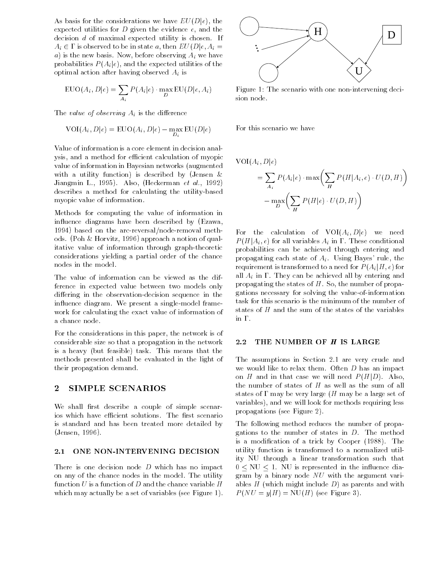As basis for the considerations we have  $EU(D|\epsilon)$ , the expected utilities for  $D$  given the evidence  $e$ , and the decision d of maximal expected utility is chosen If  $A_i \in \Gamma$  is observed to be in state a, then  $EU(D|e, A_i =$ a) is the new basis. Now, before observing  $A_i$  we have probabilities  $P(A_i|e)$ , and the expected utilities of the optimal action after having observed  $A_i$  is

$$
EUO(A_i, D|e) = \sum_{A_i} P(A_i|e) \cdot \max_{D} EU(D|e, A_i)
$$

The value of observing  $A_i$  is the difference

$$
VOI(A_i, D|e) = EUO(A_i, D|e) - \max_{D_i} EU(D|e)
$$

Value of information is a core element in decision anal ysis, and a method for efficient calculation of myopic value of information in Bayesian networks (augmented with a utility function is described by (Jensen  $\&$  $\mathcal{G}$ iangmin L, 1000). Thos, (Heskerman et al., 1001) describes a method for calculating the utility-based myopic value of information

Methods for computing the value of information in influence diagrams have been described by (Ezawa, 1994) based on the arc-reversal/node-removal methods. (Poh & Horvitz, 1996) approach a notion of qualitative value of information through graph-theoretic considerations yielding a partial order of the chance nodes in the model

The value of information can be viewed as the dif ference in expected value between two models only differing in the observation-decision sequence in the influence diagram. We present a single-model framework for calculating the exact value of information of a chance node

For the considerations in this paper, the network is of considerable size so that a propagation in the network is a heavy (but feasible) task. This means that the methods presented shall be evaluated in the light of their propagation demand

# SIMPLE SCENARIOS

We shall first describe a couple of simple scenarios which have efficient solutions. The first scenario is standard and has been treated more detailed by (Jensen, 1996).

## 2.1 ONE NON-INTERVENING DECISION

There is one decision node  $D$  which has no impact on any of the chance nodes in the model The utility function U is a function of D and the chance variable  $H$ which may actually be a set of variables (see Figure 1).



Figure 1: The scenario with one non-intervening decision node

For this scenario we have

$$
\text{VOI}(A_i, D|e)
$$
\n
$$
= \sum_{A_i} P(A_i|e) \cdot \max\left(\sum_{H} P(H|A_i, e) \cdot U(D, H)\right)
$$
\n
$$
- \max_{D} \left(\sum_{H} P(H|e) \cdot U(D, H)\right)
$$

For the calculation of  $VOI(A_i, D|e)$  we need  $P(H|A_i, e)$  for all variables  $A_i$  in  $\Gamma$ . These conditional probabilities can be achieved through entering and propagating each state of  $A_i$ . Using Bayes' rule, the requirement is transformed to a need for  $P(A_i|H, e)$  for all  $A_i$  in  $\Gamma$ . They can be achieved all by entering and propagating the states of  $H$ . So, the number of propagations necessary for solving the value-of-information task for this scenario is the minimum of the number of states of  $H$  and the sum of the states of the variables in Γ.

#### 2.2 THE NUMBER OF H IS LARGE

The assumptions in Section 2.1 are very crude and we would like to relax them. Often  $D$  has an impact on H and in that case we will need  $P(H|D)$ . Also, the number of states of  $H$  as well as the sum of all states of  $\Gamma$  may be very large (H may be a large set of variables), and we will look for methods requiring less propagations (see Figure 2).

The following method reduces the number of propa gations to the number of states in  $D$ . The method is a modification of a trick by Cooper  $(1988)$ . The utility function is transformed to a normalized util ity NU through a linear transformation such that  $0 < NU < 1$ . NU is represented in the influence diagram by a binary node  $NU$  with the argument variables  $H$  (which might include  $D$ ) as parents and with  $P(NU = y|H) = \text{NU}(H)$  (see Figure 3).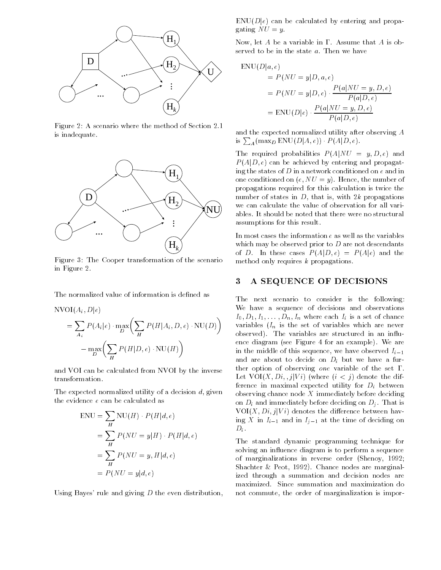

Figure 2: A scenario where the method of Section 2.1 is inadequate



Figure 3: The Cooper transformation of the scenario in Figure

The normalized value of information is defined as

 $NVOI(A_i, D|e)$ 

$$
= \sum_{A_i} P(A_i|e) \cdot \max_{D} \left( \sum_{H} P(H|A_i, D, e) \cdot \text{NU}(D) \right) \quad \begin{array}{c} I \\ \text{v} \\ \text{o} \\ - \max_{D} \left( \sum_{H} P(H|D, e) \cdot \text{NU}(H) \right) \quad \text{e} \\ \text{in} \quad \text{a} \end{array}
$$

and VOI can be calculated from NVOI by the inverse transformation

The expected normalized utility of a decision  $d$ , given the evidence e can be calculated as

$$
ENU = \sum_{H} NU(H) \cdot P(H|d, e)
$$
  
= 
$$
\sum_{H} P(NU = y|H) \cdot P(H|d, e)
$$
  
= 
$$
\sum_{H} P(NU = y, H|d, e)
$$
  
= 
$$
P(NU = y|d, e)
$$

Using Bayes' rule and giving  $D$  the even distribution,

 $ENU(D|e)$  can be calculated by entering and propagating  $NU = y$ .

Now, let A be a variable in  $\Gamma$ . Assume that A is observed to be in the state  $a$ . Then we have

$$
ENU(D|a, e)
$$
  
=  $P(NU = y|D, a, e)$   
=  $P(NU = y|D, e) \cdot \frac{P(a|NU = y, D, e)}{P(a|D, e)}$   
=  $ENU(D|e) \cdot \frac{P(a|NU = y, D, e)}{P(a|D, e)}$ 

and the expected normalized utility after observing A is  $\sum_A (\max_D \mathrm{ENU}(D|A,e)) \cdot P(A|D,e)$ .

The required probabilities  $P(A|NU = y, D, e)$  and  $P(A|D, e)$  can be achieved by entering and propagating the states of  $D$  in a network conditioned on  $e$  and in one conditioned on  $(e, NU = y)$ . Hence, the number of propagations required for this calculation is twice the number of states in  $D$ , that is, with  $2k$  propagations we can calculate the value of observation for all vari ables. It should be noted that there were no structural assumptions for this result

In most cases the information  $e$  as well as the variables which may be observed prior to  $D$  are not descendants of D. In these cases  $P(A|D, e) = P(A|e)$  and the method only requires  $k$  propagations.

# A SEQUENCE OF DECISIONS

The next scenario to consider is the following We have a sequence of decisions and observations I- D I--- Dn In where each Ii is a set of chance variables  $(I_n$  is the set of variables which are never observed). The variables are structured in an influence diagram (see Figure 4 for an example). We are in the middle of this sequence, we have observed  $I_{i-1}$ and are about to decide on  $D_i$  but we have a further option of observing one variable of the set  $\Gamma$ . Let  $\text{VOI}(X, Di, j|Vi)$  (where  $(i < j)$  denote the difference in maximal expected utility for  $D_i$  between observing chance node  $X$  immediately before deciding on  $D_i$  and immediately before deciding on  $D_j$ . That is  $\text{VOI}(X, Di, j|Vi)$  denotes the difference between having X in  $I_{i-1}$  and in  $I_{j-1}$  at the time of deciding on  $D_i$ .

The standard dynamic programming technique for solving an influence diagram is to perform a sequence of marginalizations in reverse order (Shenoy, 1992; Shachter  $&$  Peot, 1992). Chance nodes are marginalized through a summation and decision nodes are maximized Since summation and maximization do not commute, the order of marginalization is impor-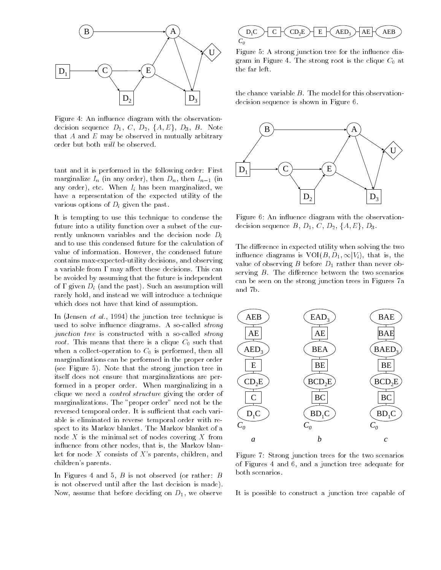

Figure 4: An influence diagram with the observationdecision sequence  $D_1$ , C,  $D_2$ ,  $\{A, E\}$ ,  $D_3$ , B. Note that  $A$  and  $E$  may be observed in mutually arbitrary order but both will be observed.

tant and it is performed in the following order First marginalize  $I_n$  (in any order), then  $D_n$ , then  $I_{n-1}$  (in any order), etc. When  $I_i$  has been marginalized, we have a representation of the expected utility of the various options of  $D_i$  given the past.

It is tempting to use this technique to condense the future into a utility function over a subset of the cur rently unknown variables and the decision node  $D_i$ and to use this condensed future for the calculation of value of information. However, the condensed future contains max-expected-utility decisions, and observing a variable from  $\Gamma$  may affect these decisions. This can be avoided by assuming that the future is independent of  $\Gamma$  given  $D_i$  (and the past). Such an assumption will rarely hold, and instead we will introduce a technique which does not have that kind of assumption.

In (geneen et al., 100 f) and junction tree technique is used to solve influence diagrams. A so-called  $strong$ junction tree is constructed with a so-called strong root This means that there is a clique C-p such that the when a collectoperation to C-W and background then all marginalizations can be performed in the proper order (see Figure 5). Note that the strong junction tree in itself does not ensure that marginalizations are per formed in a proper order. When marginalizing in a clique we need a control structure giving the order of marginalizations. The "proper order" need not be the reversed temporal order. It is sufficient that each variable is eliminated in reverse temporal order with re spect to its Markov blanket The Markov blanket of a node  $X$  is the minimal set of nodes covering  $X$  from influence from other nodes, that is, the Markov blanket for node  $X$  consists of  $X$ 's parents, children, and children's parents.

In Figures 4 and 5,  $B$  is not observed (or rather:  $B$ is not observed until after the last decision is made Now, assume that before deciding on  $D_1$ , we observe



Figure 5: A strong junction tree for the influence dia- $\alpha$  at strong root is the strong root is the clique C-M strong root is the clique C-M strong root is the clique C-M strong root is the clique C-M strong root is the clique C-M strong root is the clique C-M strong root is the far left

the chance variable  $B$ . The model for this observationdecision sequence is shown in Figure 6.



Figure 6: An influence diagram with the observationdecision sequence  $B, D_1, C, D_2, \{A, E\}, D_3$ .

The difference in expected utility when solving the two influence diagrams is  $\text{VOI}(B, D_1, \infty | V_i)$ , that is, the value of observing B before  $D_1$  rather than never observing  $B$ . The difference between the two scenarios can be seen on the strong junction trees in Figures 
a and 7b.



Figure 7: Strong junction trees for the two scenarios of Figures 4 and 6, and a junction tree adequate for both scenarios

It is possible to construct a junction tree capable of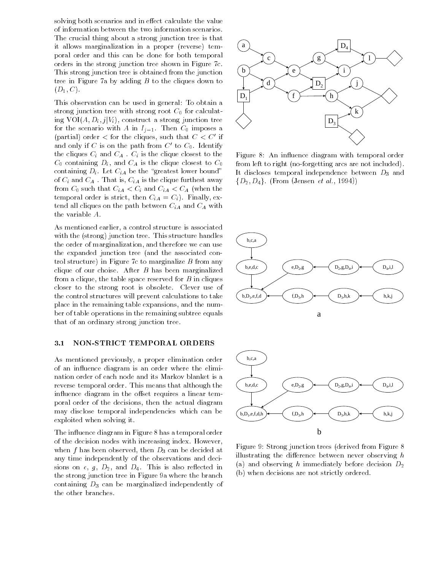solving both scenarios and in effect calculate the value of information between the two information scenarios The crucial thing about a strong junction tree is that it allows marginalization in a proper (reverse) temporal order and this can be done for both temporal orders in the strong junction tree shown in Figure 7c. This strong junction tree is obtained from the junction tree in Figure 7a by adding  $B$  to the cliques down to  $(D_1, C)$ .

This observation can be used in general: To obtain a strong junction tree with strong root C- for calculat ing VOI $(A, D_i, j|V_i)$ , construct a strong junction tree for the scenario with  $\frac{1}{1}$  in Ign I imposes a imposes a imposes a imposes a imposes a imposes a imposes a imposes a imposes a imposes a imposes a imposes a imposes a imposes a imposes a imposes a imposes a imposes a (partial) order  $\leqslant$  for the cliques, such that  $C\leqslant C$  if  $\equiv$ and only if  $C$  is on the path from  $C$  to  $C_0$ . Identify the cliques  $C_i$  and  $C_A$ .  $C_i$  is the clique closest to the  $-$  containing  $-$  containing  $-$  containing  $-$  containing  $-$  containing  $-$  containing  $-$  containing  $-$  containing  $-$  containing  $-$  containing  $-$  containing  $-$  containing  $-$  containing  $-$  containing  $-$  contain containing  $D_i$ . Let  $C_{iA}$  be the "greatest lower bound" of  $C_i$  and  $C_A$ . That is,  $C_{iA}$  is the clique furthest away from C-1  $\sim$  C-1  $\sim$  C-1  $\sim$  C-1  $\sim$  C-1  $\sim$ temporal order is strict, then  $C_{iA} = C_i$ . Finally, extend all cliques on the path between  $C_{iA}$  and  $C_A$  with the variable A

As mentioned earlier, a control structure is associated with the (strong) junction tree. This structure handles the order of marginalization, and therefore we can use the expanded junction tree (and the associated control structure) in Figure 7c to marginalize  $B$  from any clique of our choise. After  $B$  has been marginalized from a clique, the table space reserved for  $B$  in cliques closer to the strong root is obsolete. Clever use of the control structures will prevent calculations to take place in the remaining table expansions, and the number of table operations in the remaining subtree equals that of an ordinary strong junction tree

#### 3.1 NON-STRICT TEMPORAL ORDERS

As mentioned previously, a proper elimination order of an influence diagram is an order where the elimination order of each node and its Markov blanket is a reverse temporal order. This means that although the influence diagram in the offset requires a linear temporal order of the decisions then the actual diagram may disclose temporal independencies which can be exploited when solving it

The influence diagram in Figure 8 has a temporal order of the decision nodes with increasing index. However, when f has been observed, then  $D_3$  can be decided at any time independently of the observations and deci sions on  $e$ ,  $g$ ,  $D_2$ , and  $D_4$ . This is also reflected in the strong junction tree in Figure 9a where the branch containing  $D_3$  can be marginalized independently of the other branches



Figure 8: An influence diagram with temporal order from left to right (no-forgetting arcs are not included). It discloses temporal independence between  $D_3$  and  $\{D_2,D_4\}$ . (From (Jensen *et al.*, 1994))



Figure 9: Strong junction trees (derived from Figure 8 illustrating the difference between never observing  $h$ (a) and observing h immediately before decision  $D_2$ (b) when decisions are not strictly ordered.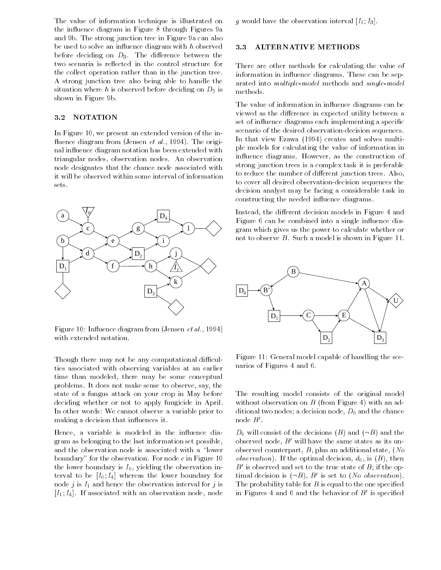The value of information technique is illustrated on the influence diagram in Figure  $8$  through Figures  $9a$ and 9b. The strong junction tree in Figure 9a can also be used to solve an influence diagram with  $h$  observed before deciding on  $D_3$ . The difference between the two scenaria is reflected in the control structure for the collect operation rather than in the junction tree A strong junction tree also being able to handle the situation where h is observed before deciding on  $D_2$  is shown in Figure 9b.

# 3.2 NOTATION

In Figure 10, we present an extended version of the innuonee unegram nom (gensen et al., 100 1). The original nal influence diagram notation has been extended with triangular nodes observation nodes An observation node designates that the chance node associated with it will be observed within some interval of information sets



 $\mathbf{r}$  igare red minute diagram from  $\mathbf{v}$  chosen et al., respectively. with extended notation

Though there may not be any computational difficulties associated with observing variables at an earlier time than modeled, there may be some conceptual problems. It does not make sense to observe, say, the state of a fungus attack on your crop in May before deciding whether or not to apply fungicide in April In other words: We cannot observe a variable prior to making a decision that influences it.

Hence, a variable is modeled in the influence diagram as belonging to the last information set possible and the observation node is associated with a "lower boundary" for the observation. For node  $c$  in Figure 10 the lower boundary is I<sub>II</sub> jielding the observation in the terval to be "I-mail to be "I-mail to be "I-mail to be "I-mail to be "I-mail to be "I-mail to be "I-mail to be node j is  $I_1$  and hence the observation interval for j is  $[I_1, I_4]$ . If associated with an observation node, node

q would have the observation interval  $[I_1; I_3]$ .

### 3.3 ALTERNATIVE METHODS

There are other methods for calculating the value of information in influence diagrams. These can be separated into multiple-model methods and single-model methods

The value of information in influence diagrams can be viewed as the difference in expected utility between a set of influence diagrams each implementing a specific scenario of the desired observation-decision sequences. In that view Ezawa (1994) creates and solves multiple models for calculating the value of information in influence diagrams. However, as the construction of strong junction trees is a complex task it is preferable to reduce the number of different junction trees. Also, to cover all desired observation-decision sequences the decision analyst may be facing a considerable task in constructing the needed influence diagrams.

Instead, the different decision models in Figure 4 and Figure 6 can be combined into a single influence diagram which gives us the power to calculate whether or not to observe  $B$ . Such a model is shown in Figure 11.



Figure 11: General model capable of handling the scenarios of Figures 4 and 6.

The resulting model consists of the original model without observation on  $B$  (from Figure 4) with an additional two nodes a decision nodes a decision nodes a decision nodes a decision nodes a decision nodes and the node B-

 $D_0$  will consist of the decisions  $(D)$  and  $(\neg D)$  and the observed node,  $B$  -will have the same states as its un-  $\,$ observed counterpart,  $B$ , plus an additional state,  $No$ observation in the optimization of the optimal decision  $\{ \begin{array}{c} \ldots \end{array} \}$  $B$  is observed and set to the true state of  $B$  if the op $t_{\text{H}}$  and decision is  $\Box B$ , B- is set to (*No observation*). The probability table for  $B$  is equal to the one specified in rigures  $4$  and  $0$  and the behavior of  $B$ -is specified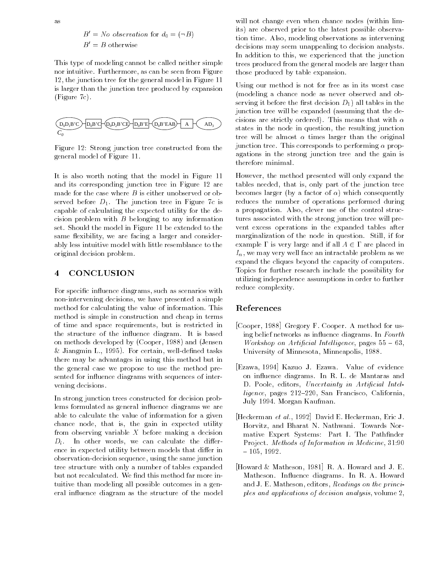$$
B' = No\ observation\ for\ d_0 = (\neg B)
$$
  

$$
B' = B\ otherwise
$$

This type of modeling cannot be called neither simple nor intuitive. Furthermore, as can be seen from Figure  $12$ , the junction tree for the general model in Figure 11 is larger than the junction tree produced by expansion  $(Figure 7c)$ .



Figure 12: Strong junction tree constructed from the general model of Figure

It is also worth noting that the model in Figure 11 and its corresponding junction tree in Figure 12 are made for the case where  $B$  is either unobserved or observed before  $D_1$ . The junction tree in Figure 7c is capable of calculating the expected utility for the de cision problem with  $B$  belonging to any information set. Should the model in Figure 11 be extended to the same flexibility, we are facing a larger and considerably less intuitive model with little resemblance to the original decision problem

#### **CONCLUSION**  $\overline{\mathbf{4}}$

For specific influence diagrams, such as scenarios with non-intervening decisions, we have presented a simple method for calculating the value of information This method is simple in construction and cheap in terms of time and space requirements but is restricted in the structure of the influence diagram. It is based on methods developed by  $(Cooper, 1988)$  and  $(Jensen)$ & Jiangmin L., 1995). For certain, well-defined tasks there may be advantages in using this method but in the general case we propose to use the method pre sented for influence diagrams with sequences of intervening decisions

In strong junction trees constructed for decision prob lems formulated as general influence diagrams we are able to calculate the value of information for a given chance node, that is, the gain in expected utility from observing variable  $X$  before making a decision  $D_i$ . In other words, we can calculate the difference in expected utility between models that differ in observation-decision sequence, using the same junction tree structure with only a number of tables expanded but not recalculated. We find this method far more intuitive than modeling all possible outcomes in a gen eral influence diagram as the structure of the model

will not change even when chance nodes (within limits) are observed prior to the latest possible observation time. Also, modeling observations as intervening decisions may seem unappealing to decision analysts In addition to this, we experienced that the junction trees produced from the general models are larger than those produced by table expansion

Using our method is not for free as in its worst case modeling a chance node as never observed and ob serving it before the first decision  $D_1$ ) all tables in the junction tree will be expanded (assuming that the decisions are strictly ordered). This means that with  $\alpha$ states in the node in question, the resulting junction tree will be almost  $\alpha$  times larger than the original junction tree. This corresponds to performing  $\alpha$  propagations in the strong junction tree and the gain is therefore minimal

However, the method presented will only expand the tables needed, that is, only part of the junction tree becomes larger (by a factor of  $\alpha$ ) which consequently reduces the number of operations performed during a propagation. Also, clever use of the control structures associated with the strong junction tree will pre vent excess operations in the expanded tables after marginalization of the node in question. Still, if for example  $\Gamma$  is very large and if all  $A \in \Gamma$  are placed in  $I_n$ , we may very well face an intractable problem as we expand the cliques beyond the capacity of computers Topics for further research include the possibility for utilizing independence assumptions in order to further reduce complexity

# References

- [Cooper, 1988] Gregory F. Cooper. A method for using belief networks as influence diagrams. In  $Fourth$ Workshop on Artificial Intelligence, pages  $55 - 63$ , University of Minnesota, Minneapolis, 1988.
- [Ezawa, 1994] Kazuo J. Ezawa. Value of evidence on influence diagrams. In R. L. de Mantaras and D. Poole, editors, Uncertainty in Artificial Intelligence, pages 212-220, San Francisco, California, July 1994. Morgan Kaufman.
- $\mu$  is defined to all, real  $\mu$  and  $\mu$ . The measurement,  $\mu$  in  $\sigma$ . Horvitz, and Bharat N. Nathwani. Towards Normative Expert Systems: Part I. The Pathfinder Project. Methods of Information in Medicine, 31:90  $-105, 1992.$
- [Howard  $\&$  Matheson, 1981] R. A. Howard and J. E. Matheson. Influence diagrams. In R. A. Howard and J. E. Matheson, editors, Readings on the principles and applications of decision analysis, volume  $2$ ,